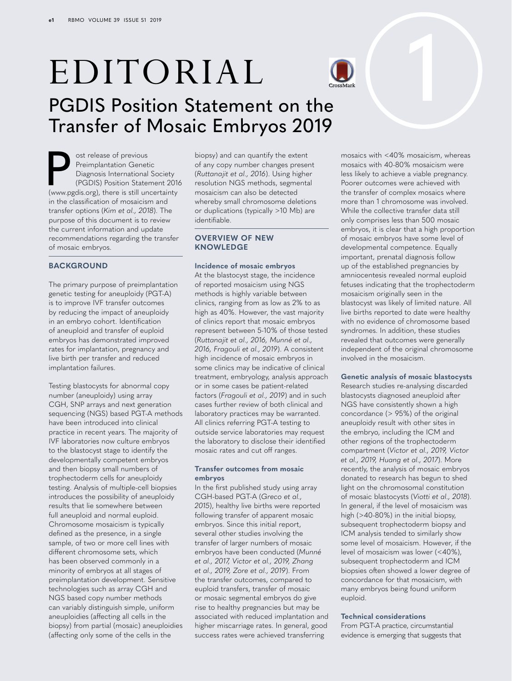# **EDITORIAL**<br>PGDIS Position Statement on the EDITORIAL



# PGDIS Position Statement on the Transfer of Mosaic Embryos 2019

ost release of previous<br>
Preimplantation Genetic<br>
Diagnosis International Society<br>
(PGDIS) Position Statement 2014<br> [\(www.pgdis.org\)](http://www.pgdis.org), there is still uncertainty Preimplantation Genetic Diagnosis International Society (PGDIS) Position Statement 2016 in the classification of mosaicism and transfer options (*Kim et al., 2018*). The purpose of this document is to review the current information and update recommendations regarding the transfer of mosaic embryos.

# **BACKGROUND**

The primary purpose of preimplantation genetic testing for aneuploidy (PGT-A) is to improve IVF transfer outcomes by reducing the impact of aneuploidy in an embryo cohort. Identification of aneuploid and transfer of euploid embryos has demonstrated improved rates for implantation, pregnancy and live birth per transfer and reduced implantation failures.

Testing blastocysts for abnormal copy number (aneuploidy) using array CGH, SNP arrays and next generation sequencing (NGS) based PGT-A methods have been introduced into clinical practice in recent years. The majority of IVF laboratories now culture embryos to the blastocyst stage to identify the developmentally competent embryos and then biopsy small numbers of trophectoderm cells for aneuploidy testing. Analysis of multiple-cell biopsies introduces the possibility of aneuploidy results that lie somewhere between full aneuploid and normal euploid. Chromosome mosaicism is typically defined as the presence, in a single sample, of two or more cell lines with different chromosome sets, which has been observed commonly in a minority of embryos at all stages of preimplantation development. Sensitive technologies such as array CGH and NGS based copy number methods can variably distinguish simple, uniform aneuploidies (affecting all cells in the biopsy) from partial (mosaic) aneuploidies (affecting only some of the cells in the

biopsy) and can quantify the extent of any copy number changes present (*Ruttanajit et al., 2016*). Using higher resolution NGS methods, segmental mosaicism can also be detected whereby small chromosome deletions or duplications (typically >10 Mb) are identifiable.

### **OVERVIEW OF NEW KNOWLEDGE**

#### **Incidence of mosaic embryos**

At the blastocyst stage, the incidence of reported mosaicism using NGS methods is highly variable between clinics, ranging from as low as 2% to as high as 40%. However, the vast majority of clinics report that mosaic embryos represent between 5-10% of those tested (*Ruttanajit et al., 2016, Munné et al., 2016, Fragouli et al., 2019*). A consistent high incidence of mosaic embryos in some clinics may be indicative of clinical treatment, embryology, analysis approach or in some cases be patient-related factors (*Fragouli et al., 2019*) and in such cases further review of both clinical and laboratory practices may be warranted. All clinics referring PGT-A testing to outside service laboratories may request the laboratory to disclose their identified mosaic rates and cut off ranges.

#### **Transfer outcomes from mosaic embryos**

In the first published study using array CGH-based PGT-A (*Greco et al., 2015*), healthy live births were reported following transfer of apparent mosaic embryos. Since this initial report, several other studies involving the transfer of larger numbers of mosaic embryos have been conducted (*Munné et al., 2017, Victor et al., 2019, Zhang et al., 2019, Zore et al., 2019*). From the transfer outcomes, compared to euploid transfers, transfer of mosaic or mosaic segmental embryos do give rise to healthy pregnancies but may be associated with reduced implantation and higher miscarriage rates. In general, good success rates were achieved transferring

mosaics with <40% mosaicism, whereas mosaics with 40-80% mosaicism were less likely to achieve a viable pregnancy. Poorer outcomes were achieved with the transfer of complex mosaics where more than 1 chromosome was involved. While the collective transfer data still only comprises less than 500 mosaic embryos, it is clear that a high proportion of mosaic embryos have some level of developmental competence. Equally important, prenatal diagnosis follow up of the established pregnancies by amniocentesis revealed normal euploid fetuses indicating that the trophectoderm mosaicism originally seen in the blastocyst was likely of limited nature. All live births reported to date were healthy with no evidence of chromosome based syndromes. In addition, these studies revealed that outcomes were generally independent of the original chromosome involved in the mosaicism.

#### **Genetic analysis of mosaic blastocysts**

Research studies re-analysing discarded blastocysts diagnosed aneuploid after NGS have consistently shown a high concordance (> 95%) of the original aneuploidy result with other sites in the embryo, including the ICM and other regions of the trophectoderm compartment (*Victor et al., 2019, Victor et al., 2019, Huang et al., 2017*). More recently, the analysis of mosaic embryos donated to research has begun to shed light on the chromosomal constitution of mosaic blastocysts (*Viotti et al., 2018*). In general, if the level of mosaicism was high (>40-80%) in the initial biopsy, subsequent trophectoderm biopsy and ICM analysis tended to similarly show some level of mosaicism. However, if the level of mosaicism was lower (<40%), subsequent trophectoderm and ICM biopsies often showed a lower degree of concordance for that mosaicism, with many embryos being found uniform euploid.

#### **Technical considerations**

From PGT-A practice, circumstantial evidence is emerging that suggests that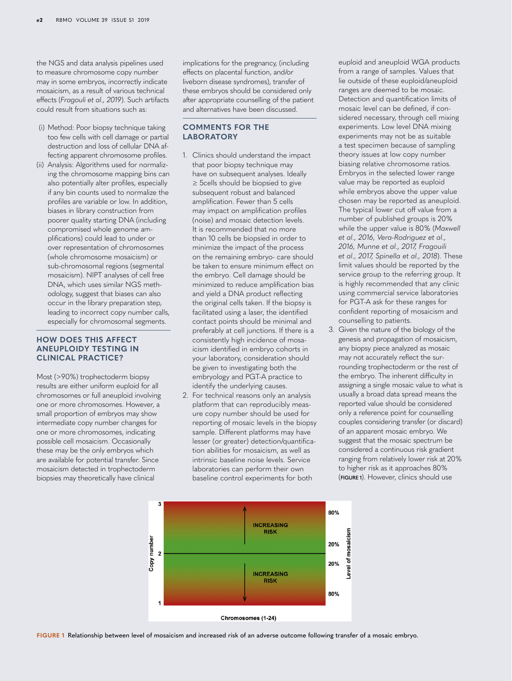the NGS and data analysis pipelines used to measure chromosome copy number may in some embryos, incorrectly indicate mosaicism, as a result of various technical effects (*Fragouli et al., 2019*). Such artifacts could result from situations such as:

- (i) Method: Poor biopsy technique taking too few cells with cell damage or partial destruction and loss of cellular DNA affecting apparent chromosome profiles.
- (ii) Analysis: Algorithms used for normalizing the chromosome mapping bins can also potentially alter profiles, especially if any bin counts used to normalize the profiles are variable or low. In addition, biases in library construction from poorer quality starting DNA (including compromised whole genome amplifications) could lead to under or over representation of chromosomes (whole chromosome mosaicism) or sub-chromosomal regions (segmental mosaicism). NIPT analyses of cell free DNA, which uses similar NGS methodology, suggest that biases can also occur in the library preparation step, leading to incorrect copy number calls, especially for chromosomal segments.

# **HOW DOES THIS AFFECT ANEUPLOIDY TESTING IN CLINICAL PRACTICE?**

Most (>90%) trophectoderm biopsy results are either uniform euploid for all chromosomes or full aneuploid involving one or more chromosomes. However, a small proportion of embryos may show intermediate copy number changes for one or more chromosomes, indicating possible cell mosaicism. Occasionally these may be the only embryos which are available for potential transfer. Since mosaicism detected in trophectoderm biopsies may theoretically have clinical

implications for the pregnancy, (including effects on placental function, and/or liveborn disease syndromes), transfer of these embryos should be considered only after appropriate counselling of the patient and alternatives have been discussed.

### **COMMENTS FOR THE LABORATORY**

- 1. Clinics should understand the impact that poor biopsy technique may have on subsequent analyses. Ideally ≥ 5cells should be biopsied to give subsequent robust and balanced amplification. Fewer than 5 cells may impact on amplification profiles (noise) and mosaic detection levels. It is recommended that no more than 10 cells be biopsied in order to minimize the impact of the process on the remaining embryo- care should be taken to ensure minimum effect on the embryo. Cell damage should be minimized to reduce amplification bias and yield a DNA product reflecting the original cells taken. If the biopsy is facilitated using a laser, the identified contact points should be minimal and preferably at cell junctions. If there is a consistently high incidence of mosaicism identified in embryo cohorts in your laboratory, consideration should be given to investigating both the embryology and PGT-A practice to identify the underlying causes.
- 2. For technical reasons only an analysis platform that can reproducibly measure copy number should be used for reporting of mosaic levels in the biopsy sample. Different platforms may have lesser (or greater) detection/quantification abilities for mosaicism, as well as intrinsic baseline noise levels. Service laboratories can perform their own baseline control experiments for both

euploid and aneuploid WGA products from a range of samples. Values that lie outside of these euploid/aneuploid ranges are deemed to be mosaic. Detection and quantification limits of mosaic level can be defined, if considered necessary, through cell mixing experiments. Low level DNA mixing experiments may not be as suitable a test specimen because of sampling theory issues at low copy number biasing relative chromosome ratios. Embryos in the selected lower range value may be reported as euploid while embryos above the upper value chosen may be reported as aneuploid. The typical lower cut off value from a number of published groups is 20% while the upper value is 80% (*Maxwell et al., 2016, Vera-Rodriguez et al., 2016, Munne et al., 2017, Fragouili et al., 2017, Spinella et al., 2018*). These limit values should be reported by the service group to the referring group. It is highly recommended that any clinic using commercial service laboratories for PGT-A ask for these ranges for confident reporting of mosaicism and counselling to patients.

3. Given the nature of the biology of the genesis and propagation of mosaicism, any biopsy piece analyzed as mosaic may not accurately reflect the surrounding trophectoderm or the rest of the embryo. The inherent difficulty in assigning a single mosaic value to what is usually a broad data spread means the reported value should be considered only a reference point for counselling couples considering transfer (or discard) of an apparent mosaic embryo. We suggest that the mosaic spectrum be considered a continuous risk gradient ranging from relatively lower risk at 20% to higher risk as it approaches 80% (**FIGURE 1**). However, clinics should use



**FIGURE 1** Relationship between level of mosaicism and increased risk of an adverse outcome following transfer of a mosaic embryo.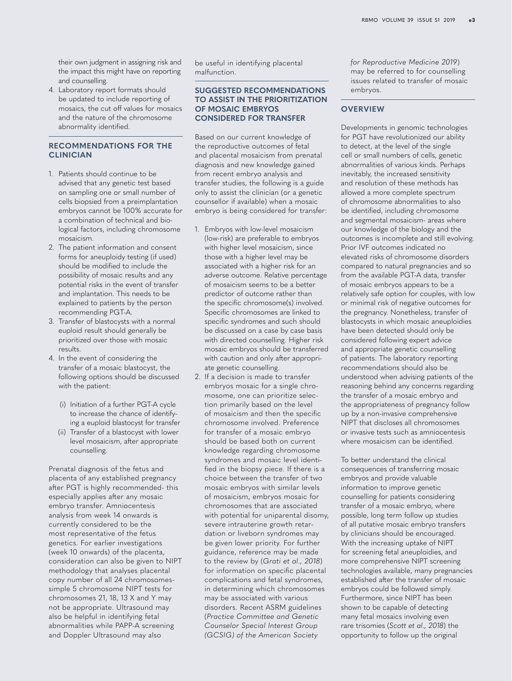their own judgment in assigning risk and the impact this might have on reporting and counselling.

4. Laboratory report formats should be updated to include reporting of mosaics, the cut off values for mosaics and the nature of the chromosome abnormality identified.

# **RECOMMENDATIONS FOR THE CLINICIAN**

- 1. Patients should continue to be advised that any genetic test based on sampling one or small number of cells biopsied from a preimplantation embryos cannot be 100% accurate for a combination of technical and biological factors, including chromosome mosaicism.
- 2. The patient information and consent forms for aneuploidy testing (if used) should be modified to include the possibility of mosaic results and any potential risks in the event of transfer and implantation. This needs to be explained to patients by the person recommending PGT-A.
- 3. Transfer of blastocysts with a normal euploid result should generally be prioritized over those with mosaic results.
- 4. In the event of considering the transfer of a mosaic blastocyst, the following options should be discussed with the patient:
	- (i) Initiation of a further PGT-A cycle to increase the chance of identifying a euploid blastocyst for transfer
	- (ii) Transfer of a blastocyst with lower level mosaicism, after appropriate counselling.

Prenatal diagnosis of the fetus and placenta of any established pregnancy after PGT is highly recommended- this especially applies after any mosaic embryo transfer. Amniocentesis analysis from week 14 onwards is currently considered to be the most representative of the fetus genetics. For earlier investigations (week 10 onwards) of the placenta, consideration can also be given to NIPT methodology that analyses placental copy number of all 24 chromosomessimple 5 chromosome NIPT tests for chromosomes 21, 18, 13 X and Y may not be appropriate. Ultrasound may also be helpful in identifying fetal abnormalities while PAPP-A screening and Doppler Ultrasound may also

be useful in identifying placental malfunction.

#### **SUGGESTED RECOMMENDATIONS TO ASSIST IN THE PRIORITIZATION OF MOSAIC EMBRYOS CONSIDERED FOR TRANSFER**

Based on our current knowledge of the reproductive outcomes of fetal and placental mosaicism from prenatal diagnosis and new knowledge gained from recent embryo analysis and transfer studies, the following is a guide only to assist the clinician (or a genetic counsellor if available) when a mosaic embryo is being considered for transfer:

- 1. Embryos with low-level mosaicism (low-risk) are preferable to embryos with higher level mosaicism, since those with a higher level may be associated with a higher risk for an adverse outcome. Relative percentage of mosaicism seems to be a better predictor of outcome rather than the specific chromosome(s) involved. Specific chromosomes are linked to specific syndromes and such should be discussed on a case by case basis with directed counselling. Higher risk mosaic embryos should be transferred with caution and only after appropriate genetic counselling.
- 2. If a decision is made to transfer embryos mosaic for a single chromosome, one can prioritize selection primarily based on the level of mosaicism and then the specific chromosome involved. Preference for transfer of a mosaic embryo should be based both on current knowledge regarding chromosome syndromes and mosaic level identified in the biopsy piece. If there is a choice between the transfer of two mosaic embryos with similar levels of mosaicism, embryos mosaic for chromosomes that are associated with potential for uniparental disomy, severe intrauterine growth retardation or liveborn syndromes may be given lower priority. For further guidance, reference may be made to the review by (*Grati et al., 2018*) for information on specific placental complications and fetal syndromes, in determining which chromosomes may be associated with various disorders. Recent ASRM guidelines (*Practice Committee and Genetic Counselor Special Interest Group (GCSIG) of the American Society*

*for Reproductive Medicine 2019*) may be referred to for counselling issues related to transfer of mosaic embryos.

# **OVERVIEW**

Developments in genomic technologies for PGT have revolutionized our ability to detect, at the level of the single cell or small numbers of cells, genetic abnormalities of various kinds. Perhaps inevitably, the increased sensitivity and resolution of these methods has allowed a more complete spectrum of chromosome abnormalities to also be identified, including chromosome and segmental mosaicism- areas where our knowledge of the biology and the outcomes is incomplete and still evolving. Prior IVF outcomes indicated no elevated risks of chromosome disorders compared to natural pregnancies and so from the available PGT-A data, transfer of mosaic embryos appears to be a relatively safe option for couples, with low or minimal risk of negative outcomes for the pregnancy. Nonetheless, transfer of blastocysts in which mosaic aneuploidies have been detected should only be considered following expert advice and appropriate genetic counselling of patients. The laboratory reporting recommendations should also be understood when advising patients of the reasoning behind any concerns regarding the transfer of a mosaic embryo and the appropriateness of pregnancy follow up by a non-invasive comprehensive NIPT that discloses all chromosomes or invasive tests such as amniocentesis where mosaicism can be identified.

To better understand the clinical consequences of transferring mosaic embryos and provide valuable information to improve genetic counselling for patients considering transfer of a mosaic embryo, where possible, long term follow up studies of all putative mosaic embryo transfers by clinicians should be encouraged. With the increasing uptake of NIPT for screening fetal aneuploidies, and more comprehensive NIPT screening technologies available, many pregnancies established after the transfer of mosaic embryos could be followed simply. Furthermore, since NIPT has been shown to be capable of detecting many fetal mosaics involving even rare trisomies (*Scott et al., 2018*) the opportunity to follow up the original